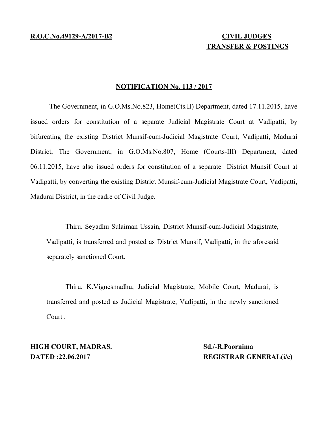# **TRANSFER & POSTINGS**

#### **NOTIFICATION No. 113 / 2017**

The Government, in G.O.Ms.No.823, Home(Cts.II) Department, dated 17.11.2015, have issued orders for constitution of a separate Judicial Magistrate Court at Vadipatti, by bifurcating the existing District Munsif-cum-Judicial Magistrate Court, Vadipatti, Madurai District, The Government, in G.O.Ms.No.807, Home (Courts-III) Department, dated 06.11.2015, have also issued orders for constitution of a separate District Munsif Court at Vadipatti, by converting the existing District Munsif-cum-Judicial Magistrate Court, Vadipatti, Madurai District, in the cadre of Civil Judge.

Thiru. Seyadhu Sulaiman Ussain, District Munsif-cum-Judicial Magistrate, Vadipatti, is transferred and posted as District Munsif, Vadipatti, in the aforesaid separately sanctioned Court.

Thiru. K.Vignesmadhu, Judicial Magistrate, Mobile Court, Madurai, is transferred and posted as Judicial Magistrate, Vadipatti, in the newly sanctioned Court .

**HIGH COURT, MADRAS.** Sd./-R.Poornima

**DATED :22.06.2017 REGISTRAR GENERAL(i/c)**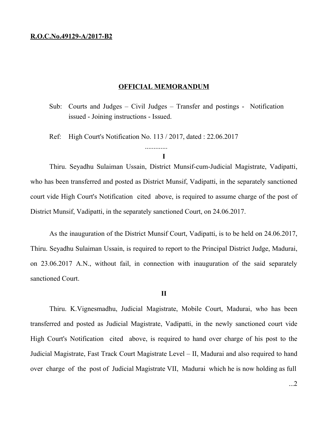### **R.O.C.No.49129-A/2017-B2**

#### **OFFICIAL MEMORANDUM**

- Sub: Courts and Judges Civil Judges Transfer and postings Notification issued - Joining instructions - Issued.
- Ref: High Court's Notification No. 113 / 2017, dated : 22.06.2017

## **I**

.............

Thiru. Seyadhu Sulaiman Ussain, District Munsif-cum-Judicial Magistrate, Vadipatti, who has been transferred and posted as District Munsif, Vadipatti, in the separately sanctioned court vide High Court's Notification cited above, is required to assume charge of the post of District Munsif, Vadipatti, in the separately sanctioned Court, on 24.06.2017.

As the inauguration of the District Munsif Court, Vadipatti, is to be held on 24.06.2017, Thiru. Seyadhu Sulaiman Ussain, is required to report to the Principal District Judge, Madurai, on 23.06.2017 A.N., without fail, in connection with inauguration of the said separately sanctioned Court.

#### **II**

Thiru. K.Vignesmadhu, Judicial Magistrate, Mobile Court, Madurai, who has been transferred and posted as Judicial Magistrate, Vadipatti, in the newly sanctioned court vide High Court's Notification cited above, is required to hand over charge of his post to the Judicial Magistrate, Fast Track Court Magistrate Level – II, Madurai and also required to hand over charge of the post of Judicial Magistrate VII, Madurai which he is now holding as full

...2